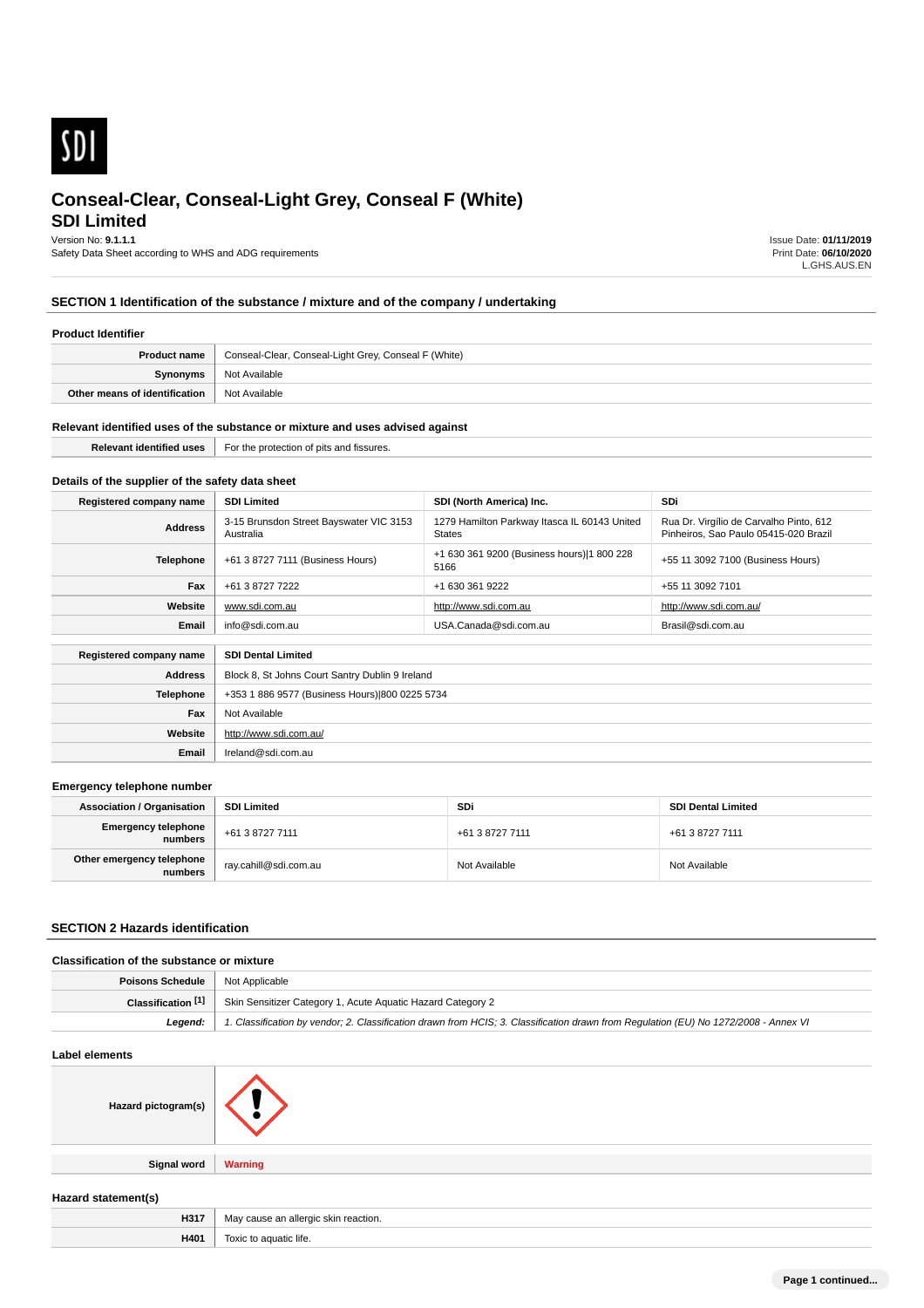

# **SDI Limited**

Version No: **9.1.1.1**

Safety Data Sheet according to WHS and ADG requirements

Issue Date: **01/11/2019** Print Date: **06/10/2020** L.GHS.AUS.EN

# **SECTION 1 Identification of the substance / mixture and of the company / undertaking**

#### **Product Identifier**

| <b>Product name</b>           | Conseal-Clear, Conseal-Light Grey, Conseal F (White) |  |
|-------------------------------|------------------------------------------------------|--|
| Synonyms                      | Not Available                                        |  |
| Other means of identification | Not Available                                        |  |

#### **Relevant identified uses of the substance or mixture and uses advised against**

**Email** Ireland@sdi.com.au

| .<br>Relevant<br><sup>4</sup> fissures.<br>e protective<br>uses<br>— <u>~ r</u><br>.nr<br><b>Tidentified</b><br>$\sim$<br>. . |
|-------------------------------------------------------------------------------------------------------------------------------|
|-------------------------------------------------------------------------------------------------------------------------------|

## **Details of the supplier of the safety data sheet**

| Registered company name                              | <b>SDI Limited</b>                                   | SDI (North America) Inc.                                      | SDi                                                                              |
|------------------------------------------------------|------------------------------------------------------|---------------------------------------------------------------|----------------------------------------------------------------------------------|
| <b>Address</b>                                       | 3-15 Brunsdon Street Bayswater VIC 3153<br>Australia | 1279 Hamilton Parkway Itasca IL 60143 United<br><b>States</b> | Rua Dr. Virgílio de Carvalho Pinto, 612<br>Pinheiros, Sao Paulo 05415-020 Brazil |
| <b>Telephone</b>                                     | +61 3 8727 7111 (Business Hours)                     | +1 630 361 9200 (Business hours) 1 800 228<br>5166            | +55 11 3092 7100 (Business Hours)                                                |
| Fax                                                  | +61 3 8727 7222                                      | +1 630 361 9222                                               | +55 11 3092 7101                                                                 |
| Website                                              | www.sdi.com.au                                       | http://www.sdi.com.au                                         | http://www.sdi.com.au/                                                           |
| Email                                                | info@sdi.com.au                                      | USA.Canada@sdi.com.au                                         | Brasil@sdi.com.au                                                                |
| <b>SDI Dental Limited</b><br>Registered company name |                                                      |                                                               |                                                                                  |
| <b>Address</b>                                       | Block 8, St Johns Court Santry Dublin 9 Ireland      |                                                               |                                                                                  |
| <b>Telephone</b>                                     | +353 1 886 9577 (Business Hours) 800 0225 5734       |                                                               |                                                                                  |
| Fax                                                  | Not Available                                        |                                                               |                                                                                  |
| Website                                              | http://www.sdi.com.au/                               |                                                               |                                                                                  |

#### **Emergency telephone number**

| <b>Association / Organisation</b>    | <b>SDI Limited</b>    | <b>SDi</b>      | <b>SDI Dental Limited</b> |
|--------------------------------------|-----------------------|-----------------|---------------------------|
| Emergency telephone<br>numbers       | +61 3 8727 7111       | +61 3 8727 7111 | +61 3 8727 7111           |
| Other emergency telephone<br>numbers | ray.cahill@sdi.com.au | Not Available   | Not Available             |

#### **SECTION 2 Hazards identification**

## **Classification of the substance or mixture**

| <b>Poisons Schedule</b>   Not Applicable |                                                                                                                                      |  |
|------------------------------------------|--------------------------------------------------------------------------------------------------------------------------------------|--|
| Classification [1]                       | Skin Sensitizer Category 1, Acute Aquatic Hazard Category 2                                                                          |  |
| Leaend:                                  | 1. Classification by vendor; 2. Classification drawn from HCIS; 3. Classification drawn from Requlation (EU) No 1272/2008 - Annex VI |  |

# **Label elements**

| Label elements                   |         |
|----------------------------------|---------|
| Hazard pictogram(s) $  \searrow$ |         |
|                                  |         |
|                                  |         |
| Signal word                      | Warning |
|                                  |         |
| Hazard statement(s)              |         |

| H401<br>$\cdots$ | ше<br>. |
|------------------|---------|
|                  |         |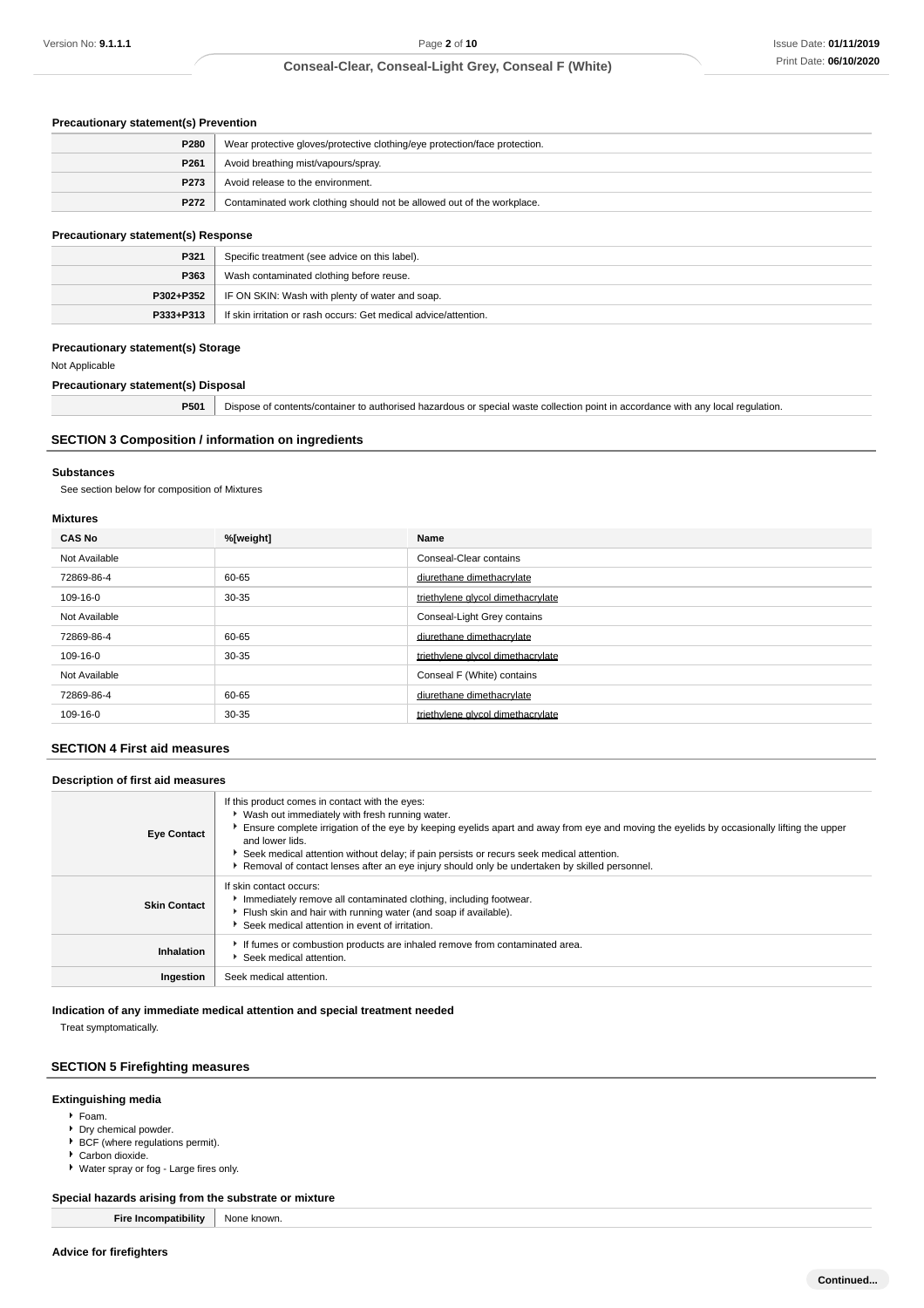## **Precautionary statement(s) Prevention**

| P280             | Wear protective gloves/protective clothing/eye protection/face protection. |  |
|------------------|----------------------------------------------------------------------------|--|
| P <sub>261</sub> | Avoid breathing mist/vapours/spray.                                        |  |
| P <sub>273</sub> | Avoid release to the environment.                                          |  |
| P272             | Contaminated work clothing should not be allowed out of the workplace.     |  |

## **Precautionary statement(s) Response**

| P321<br>Specific treatment (see advice on this label). |                                                                  |
|--------------------------------------------------------|------------------------------------------------------------------|
| P363                                                   | Wash contaminated clothing before reuse.                         |
|                                                        | P302+P352   IF ON SKIN: Wash with plenty of water and soap.      |
| $P333 + P313$                                          | If skin irritation or rash occurs: Get medical advice/attention. |

### **Precautionary statement(s) Storage**

Not Applicable

## **Precautionary statement(s) Disposal**

**P501** Dispose of contents/container to authorised hazardous or special waste collection point in accordance with any local regulation.

### **SECTION 3 Composition / information on ingredients**

### **Substances**

See section below for composition of Mixtures

## **Mixtures**

| <b>CAS No</b> | %[weight] | Name                              |
|---------------|-----------|-----------------------------------|
| Not Available |           | Conseal-Clear contains            |
| 72869-86-4    | 60-65     | diurethane dimethacrylate         |
| 109-16-0      | $30 - 35$ | triethylene glycol dimethacrylate |
| Not Available |           | Conseal-Light Grey contains       |
| 72869-86-4    | 60-65     | diurethane dimethacrylate         |
| 109-16-0      | $30 - 35$ | triethylene glycol dimethacrylate |
| Not Available |           | Conseal F (White) contains        |
| 72869-86-4    | 60-65     | diurethane dimethacrylate         |
| 109-16-0      | $30 - 35$ | triethylene glycol dimethacrylate |
|               |           |                                   |

## **SECTION 4 First aid measures**

#### **Description of first aid measures**

| <b>Eye Contact</b>  | If this product comes in contact with the eyes:<br>▶ Wash out immediately with fresh running water.<br>Ensure complete irrigation of the eye by keeping eyelids apart and away from eye and moving the eyelids by occasionally lifting the upper<br>and lower lids.<br>Seek medical attention without delay; if pain persists or recurs seek medical attention.<br>▶ Removal of contact lenses after an eye injury should only be undertaken by skilled personnel. |
|---------------------|--------------------------------------------------------------------------------------------------------------------------------------------------------------------------------------------------------------------------------------------------------------------------------------------------------------------------------------------------------------------------------------------------------------------------------------------------------------------|
| <b>Skin Contact</b> | If skin contact occurs:<br>Immediately remove all contaminated clothing, including footwear.<br>Flush skin and hair with running water (and soap if available).<br>Seek medical attention in event of irritation.                                                                                                                                                                                                                                                  |
| Inhalation          | If fumes or combustion products are inhaled remove from contaminated area.<br>Seek medical attention.                                                                                                                                                                                                                                                                                                                                                              |
| Ingestion           | Seek medical attention.                                                                                                                                                                                                                                                                                                                                                                                                                                            |

**Indication of any immediate medical attention and special treatment needed**

Treat symptomatically.

### **SECTION 5 Firefighting measures**

### **Extinguishing media**

## Foam.

- Dry chemical powder.
- ▶ BCF (where regulations permit).
- ▶ Carbon dioxide.
- Water spray or fog Large fires only.

# **Special hazards arising from the substrate or mixture**

**Fire Incompatibility** None known.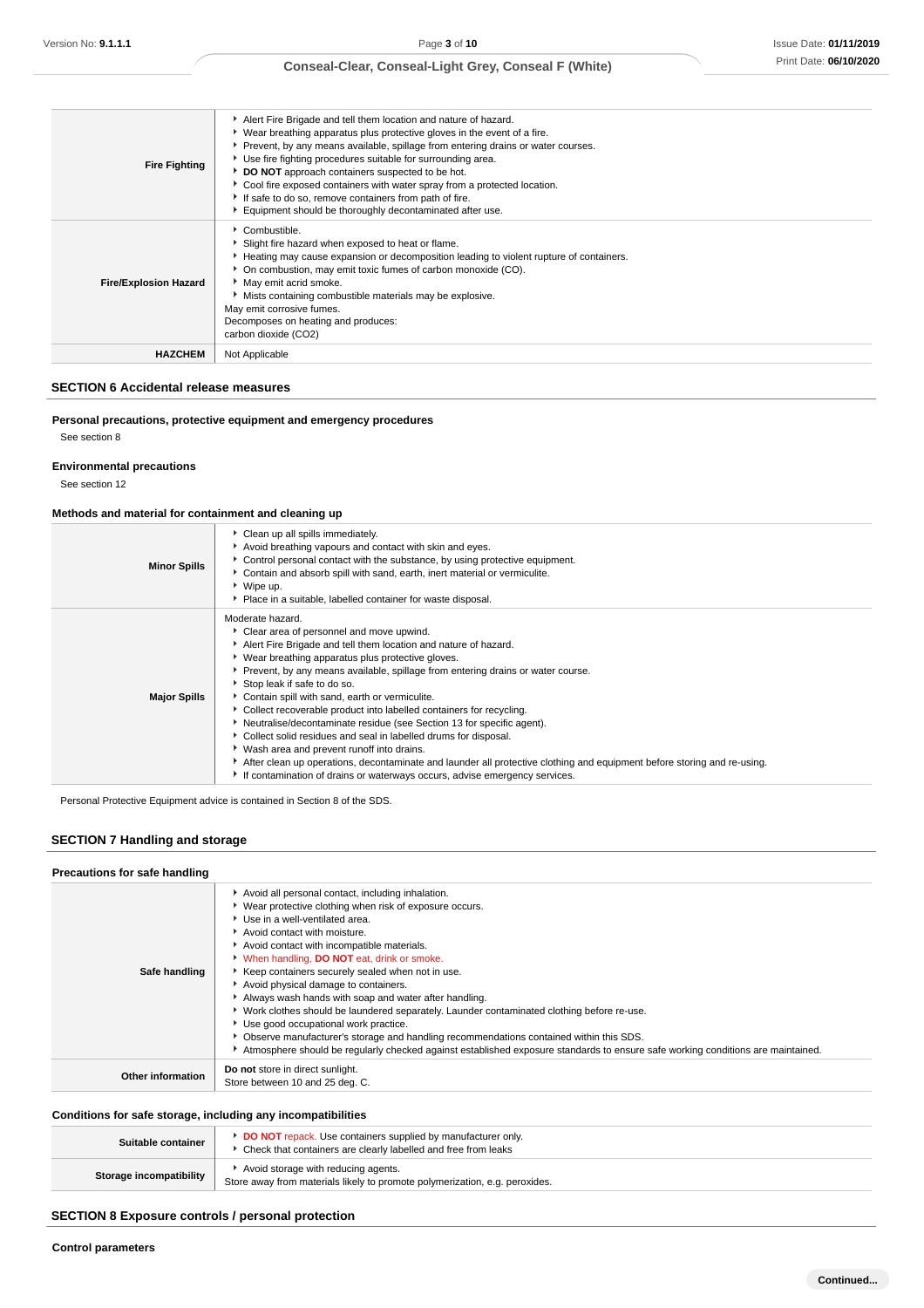| <b>Fire Fighting</b>         | Alert Fire Brigade and tell them location and nature of hazard.<br>• Wear breathing apparatus plus protective gloves in the event of a fire.<br>▶ Prevent, by any means available, spillage from entering drains or water courses.<br>Use fire fighting procedures suitable for surrounding area.<br>DO NOT approach containers suspected to be hot.<br>Cool fire exposed containers with water spray from a protected location.<br>If safe to do so, remove containers from path of fire.<br>Equipment should be thoroughly decontaminated after use. |
|------------------------------|--------------------------------------------------------------------------------------------------------------------------------------------------------------------------------------------------------------------------------------------------------------------------------------------------------------------------------------------------------------------------------------------------------------------------------------------------------------------------------------------------------------------------------------------------------|
| <b>Fire/Explosion Hazard</b> | Combustible.<br>Slight fire hazard when exposed to heat or flame.<br>Heating may cause expansion or decomposition leading to violent rupture of containers.<br>• On combustion, may emit toxic fumes of carbon monoxide (CO).<br>• May emit acrid smoke.<br>Mists containing combustible materials may be explosive.<br>May emit corrosive fumes.<br>Decomposes on heating and produces:<br>carbon dioxide (CO2)                                                                                                                                       |
| <b>HAZCHEM</b>               | Not Applicable                                                                                                                                                                                                                                                                                                                                                                                                                                                                                                                                         |

#### **SECTION 6 Accidental release measures**

## **Personal precautions, protective equipment and emergency procedures**

See section 8

### **Environmental precautions**

See section 12

### **Methods and material for containment and cleaning up**

| <b>Minor Spills</b> | Clean up all spills immediately.<br>Avoid breathing vapours and contact with skin and eyes.<br>Control personal contact with the substance, by using protective equipment.<br>▶ Contain and absorb spill with sand, earth, inert material or vermiculite.<br>▶ Wipe up.<br>• Place in a suitable, labelled container for waste disposal.                                                                                                                                                                                                                                                                                                                                                                                                                                                                                                 |
|---------------------|------------------------------------------------------------------------------------------------------------------------------------------------------------------------------------------------------------------------------------------------------------------------------------------------------------------------------------------------------------------------------------------------------------------------------------------------------------------------------------------------------------------------------------------------------------------------------------------------------------------------------------------------------------------------------------------------------------------------------------------------------------------------------------------------------------------------------------------|
| <b>Major Spills</b> | Moderate hazard.<br>Clear area of personnel and move upwind.<br>Alert Fire Brigade and tell them location and nature of hazard.<br>▶ Wear breathing apparatus plus protective gloves.<br>▶ Prevent, by any means available, spillage from entering drains or water course.<br>Stop leak if safe to do so.<br>Contain spill with sand, earth or vermiculite.<br>▶ Collect recoverable product into labelled containers for recycling.<br>Neutralise/decontaminate residue (see Section 13 for specific agent).<br>Collect solid residues and seal in labelled drums for disposal.<br>▶ Wash area and prevent runoff into drains.<br>After clean up operations, decontaminate and launder all protective clothing and equipment before storing and re-using.<br>If contamination of drains or waterways occurs, advise emergency services. |

Personal Protective Equipment advice is contained in Section 8 of the SDS.

# **SECTION 7 Handling and storage**

| Precautions for safe handling |                                                                                                                                                                                                                                                                                                                                                                                                                                                                                                                                                                                                                                                                                                                                                                                                                   |
|-------------------------------|-------------------------------------------------------------------------------------------------------------------------------------------------------------------------------------------------------------------------------------------------------------------------------------------------------------------------------------------------------------------------------------------------------------------------------------------------------------------------------------------------------------------------------------------------------------------------------------------------------------------------------------------------------------------------------------------------------------------------------------------------------------------------------------------------------------------|
| Safe handling                 | Avoid all personal contact, including inhalation.<br>▶ Wear protective clothing when risk of exposure occurs.<br>Use in a well-ventilated area.<br>Avoid contact with moisture.<br>Avoid contact with incompatible materials.<br>V When handling, <b>DO NOT</b> eat, drink or smoke.<br>Keep containers securely sealed when not in use.<br>Avoid physical damage to containers.<br>Always wash hands with soap and water after handling.<br>▶ Work clothes should be laundered separately. Launder contaminated clothing before re-use.<br>▶ Use good occupational work practice.<br>• Observe manufacturer's storage and handling recommendations contained within this SDS.<br>Atmosphere should be regularly checked against established exposure standards to ensure safe working conditions are maintained. |
| Other information             | Do not store in direct sunlight.<br>Store between 10 and 25 deg. C.                                                                                                                                                                                                                                                                                                                                                                                                                                                                                                                                                                                                                                                                                                                                               |

### **Conditions for safe storage, including any incompatibilities**

| Suitable container      | <b>DO NOT</b> repack. Use containers supplied by manufacturer only.<br>Check that containers are clearly labelled and free from leaks |
|-------------------------|---------------------------------------------------------------------------------------------------------------------------------------|
| Storage incompatibility | Avoid storage with reducing agents.<br>Store away from materials likely to promote polymerization, e.g. peroxides.                    |

## **SECTION 8 Exposure controls / personal protection**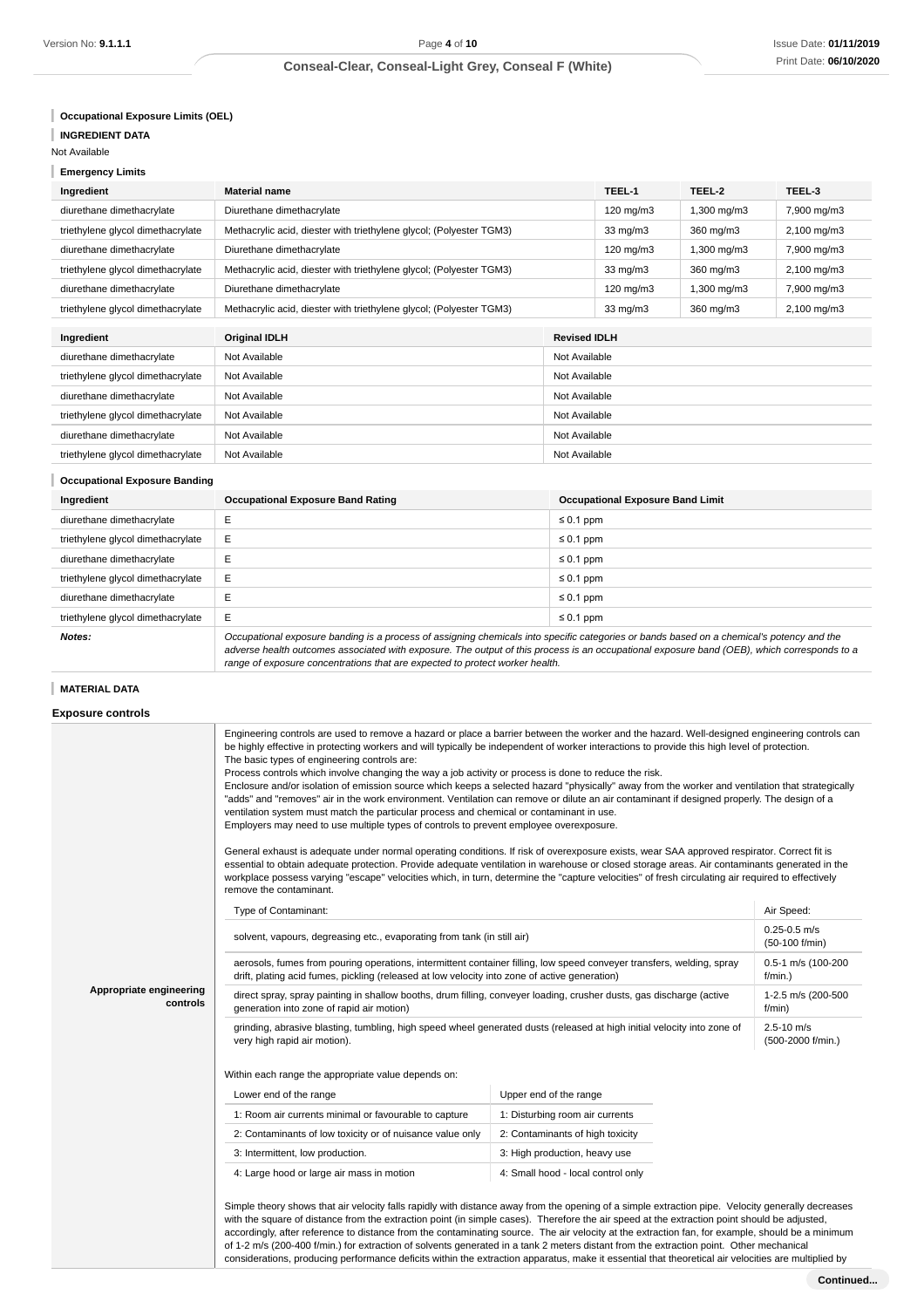**Occupational Exposure Limits (OEL)**

**INGREDIENT DATA**

Not Available

**Emergency Limits**

| Ingredient                        | Material name                                                       |                     | TEEL-1             | TEEL-2      | TEEL-3                 |
|-----------------------------------|---------------------------------------------------------------------|---------------------|--------------------|-------------|------------------------|
| diurethane dimethacrylate         | Diurethane dimethacrylate                                           |                     | $120 \text{ mg/m}$ | 1,300 mg/m3 | 7,900 mg/m3            |
| triethylene glycol dimethacrylate | Methacrylic acid, diester with triethylene glycol; (Polyester TGM3) |                     | $33 \text{ mg/m}$  | 360 mg/m3   | $2,100 \text{ mg/m}$ 3 |
| diurethane dimethacrylate         | Diurethane dimethacrylate                                           |                     | $120 \text{ mg/m}$ | 1,300 mg/m3 | 7,900 mg/m3            |
| triethylene glycol dimethacrylate | Methacrylic acid, diester with triethylene glycol; (Polyester TGM3) |                     | $33 \text{ mg/m}$  | 360 mg/m3   | $2,100$ mg/m $3$       |
| diurethane dimethacrylate         | Diurethane dimethacrylate                                           |                     | $120 \text{ mg/m}$ | .300 mg/m3  | 7,900 mg/m3            |
| triethylene glycol dimethacrylate | Methacrylic acid, diester with triethylene glycol; (Polyester TGM3) |                     | $33 \text{ mg/m}$  | 360 mg/m3   | $2,100 \text{ mg/m}$ 3 |
|                                   |                                                                     |                     |                    |             |                        |
| Ingredient                        | <b>Original IDLH</b>                                                | <b>Revised IDLH</b> |                    |             |                        |
| diurethane dimethacrylate         | Not Available                                                       | Not Available       |                    |             |                        |
| triethylene glycol dimethacrylate | Not Available<br>Not Available                                      |                     |                    |             |                        |
| diurethane dimethacrylate         | Not Available<br>Not Available                                      |                     |                    |             |                        |

triethylene glycol dimethacrylate Not Available Not Available Not Available diurethane dimethacrylate Not Available Not Available Not Available Not Available triethylene glycol dimethacrylate Not Available Not Available

# **Occupational Exposure Banding**

| Ingredient                        | <b>Occupational Exposure Band Rating</b>                                                                                                                                                                                                                                                | <b>Occupational Exposure Band Limit</b> |  |
|-----------------------------------|-----------------------------------------------------------------------------------------------------------------------------------------------------------------------------------------------------------------------------------------------------------------------------------------|-----------------------------------------|--|
| diurethane dimethacrylate         |                                                                                                                                                                                                                                                                                         | $\leq 0.1$ ppm                          |  |
| triethylene glycol dimethacrylate | Ε                                                                                                                                                                                                                                                                                       | $\leq 0.1$ ppm                          |  |
| diurethane dimethacrylate         |                                                                                                                                                                                                                                                                                         | $\leq 0.1$ ppm                          |  |
| triethylene glycol dimethacrylate | Ε                                                                                                                                                                                                                                                                                       | $\leq 0.1$ ppm                          |  |
| diurethane dimethacrylate         |                                                                                                                                                                                                                                                                                         | $\leq 0.1$ ppm                          |  |
| triethylene glycol dimethacrylate | Е                                                                                                                                                                                                                                                                                       | $\leq 0.1$ ppm                          |  |
| Notes:                            | Occupational exposure banding is a process of assigning chemicals into specific categories or bands based on a chemical's potency and the<br>salvane bealth automaic coordisted with concerns. The cutrus of this process is an accumuliant concerns bend (OED), which acqueases that a |                                         |  |

adverse health outcomes associated with exposure. The output of this process is an occupational exposure band (OEB), which corresponds to a range of exposure concentrations that are expected to protect worker health.

### **MATERIAL DATA**

### **Exposure controls**

| Appropriate engineering<br>controls | Engineering controls are used to remove a hazard or place a barrier between the worker and the hazard. Well-designed engineering controls can<br>be highly effective in protecting workers and will typically be independent of worker interactions to provide this high level of protection.<br>The basic types of engineering controls are:<br>Process controls which involve changing the way a job activity or process is done to reduce the risk.<br>Enclosure and/or isolation of emission source which keeps a selected hazard "physically" away from the worker and ventilation that strategically<br>"adds" and "removes" air in the work environment. Ventilation can remove or dilute an air contaminant if designed properly. The design of a<br>ventilation system must match the particular process and chemical or contaminant in use.<br>Employers may need to use multiple types of controls to prevent employee overexposure.<br>General exhaust is adequate under normal operating conditions. If risk of overexposure exists, wear SAA approved respirator. Correct fit is<br>essential to obtain adequate protection. Provide adequate ventilation in warehouse or closed storage areas. Air contaminants generated in the<br>workplace possess varying "escape" velocities which, in turn, determine the "capture velocities" of fresh circulating air required to effectively<br>remove the contaminant. |                                    |                               |  |  |
|-------------------------------------|---------------------------------------------------------------------------------------------------------------------------------------------------------------------------------------------------------------------------------------------------------------------------------------------------------------------------------------------------------------------------------------------------------------------------------------------------------------------------------------------------------------------------------------------------------------------------------------------------------------------------------------------------------------------------------------------------------------------------------------------------------------------------------------------------------------------------------------------------------------------------------------------------------------------------------------------------------------------------------------------------------------------------------------------------------------------------------------------------------------------------------------------------------------------------------------------------------------------------------------------------------------------------------------------------------------------------------------------------------------------------------------------------------------------------------|------------------------------------|-------------------------------|--|--|
|                                     | Type of Contaminant:                                                                                                                                                                                                                                                                                                                                                                                                                                                                                                                                                                                                                                                                                                                                                                                                                                                                                                                                                                                                                                                                                                                                                                                                                                                                                                                                                                                                            |                                    | Air Speed:                    |  |  |
|                                     | solvent, vapours, degreasing etc., evaporating from tank (in still air)                                                                                                                                                                                                                                                                                                                                                                                                                                                                                                                                                                                                                                                                                                                                                                                                                                                                                                                                                                                                                                                                                                                                                                                                                                                                                                                                                         | $0.25 - 0.5$ m/s<br>(50-100 f/min) |                               |  |  |
|                                     | aerosols, fumes from pouring operations, intermittent container filling, low speed conveyer transfers, welding, spray<br>drift, plating acid fumes, pickling (released at low velocity into zone of active generation)                                                                                                                                                                                                                                                                                                                                                                                                                                                                                                                                                                                                                                                                                                                                                                                                                                                                                                                                                                                                                                                                                                                                                                                                          |                                    | 0.5-1 m/s (100-200<br>f/min.) |  |  |
|                                     | direct spray, spray painting in shallow booths, drum filling, conveyer loading, crusher dusts, gas discharge (active<br>generation into zone of rapid air motion)                                                                                                                                                                                                                                                                                                                                                                                                                                                                                                                                                                                                                                                                                                                                                                                                                                                                                                                                                                                                                                                                                                                                                                                                                                                               |                                    | 1-2.5 m/s (200-500<br>f/min)  |  |  |
|                                     | grinding, abrasive blasting, tumbling, high speed wheel generated dusts (released at high initial velocity into zone of<br>$2.5 - 10$ m/s<br>very high rapid air motion).<br>(500-2000 f/min.)                                                                                                                                                                                                                                                                                                                                                                                                                                                                                                                                                                                                                                                                                                                                                                                                                                                                                                                                                                                                                                                                                                                                                                                                                                  |                                    |                               |  |  |
|                                     | Within each range the appropriate value depends on:                                                                                                                                                                                                                                                                                                                                                                                                                                                                                                                                                                                                                                                                                                                                                                                                                                                                                                                                                                                                                                                                                                                                                                                                                                                                                                                                                                             |                                    |                               |  |  |
|                                     | Lower end of the range                                                                                                                                                                                                                                                                                                                                                                                                                                                                                                                                                                                                                                                                                                                                                                                                                                                                                                                                                                                                                                                                                                                                                                                                                                                                                                                                                                                                          | Upper end of the range             |                               |  |  |
|                                     | 1: Room air currents minimal or favourable to capture                                                                                                                                                                                                                                                                                                                                                                                                                                                                                                                                                                                                                                                                                                                                                                                                                                                                                                                                                                                                                                                                                                                                                                                                                                                                                                                                                                           | 1: Disturbing room air currents    |                               |  |  |
|                                     | 2: Contaminants of low toxicity or of nuisance value only                                                                                                                                                                                                                                                                                                                                                                                                                                                                                                                                                                                                                                                                                                                                                                                                                                                                                                                                                                                                                                                                                                                                                                                                                                                                                                                                                                       | 2: Contaminants of high toxicity   |                               |  |  |
|                                     | 3: Intermittent, low production.                                                                                                                                                                                                                                                                                                                                                                                                                                                                                                                                                                                                                                                                                                                                                                                                                                                                                                                                                                                                                                                                                                                                                                                                                                                                                                                                                                                                | 3: High production, heavy use      |                               |  |  |
|                                     | 4: Large hood or large air mass in motion                                                                                                                                                                                                                                                                                                                                                                                                                                                                                                                                                                                                                                                                                                                                                                                                                                                                                                                                                                                                                                                                                                                                                                                                                                                                                                                                                                                       | 4: Small hood - local control only |                               |  |  |
|                                     | Simple theory shows that air velocity falls rapidly with distance away from the opening of a simple extraction pipe. Velocity generally decreases<br>with the square of distance from the extraction point (in simple cases). Therefore the air speed at the extraction point should be adjusted,<br>accordingly, after reference to distance from the contaminating source. The air velocity at the extraction fan, for example, should be a minimum<br>of 1-2 m/s (200-400 f/min.) for extraction of solvents generated in a tank 2 meters distant from the extraction point. Other mechanical<br>considerations, producing performance deficits within the extraction apparatus, make it essential that theoretical air velocities are multiplied by                                                                                                                                                                                                                                                                                                                                                                                                                                                                                                                                                                                                                                                                         |                                    |                               |  |  |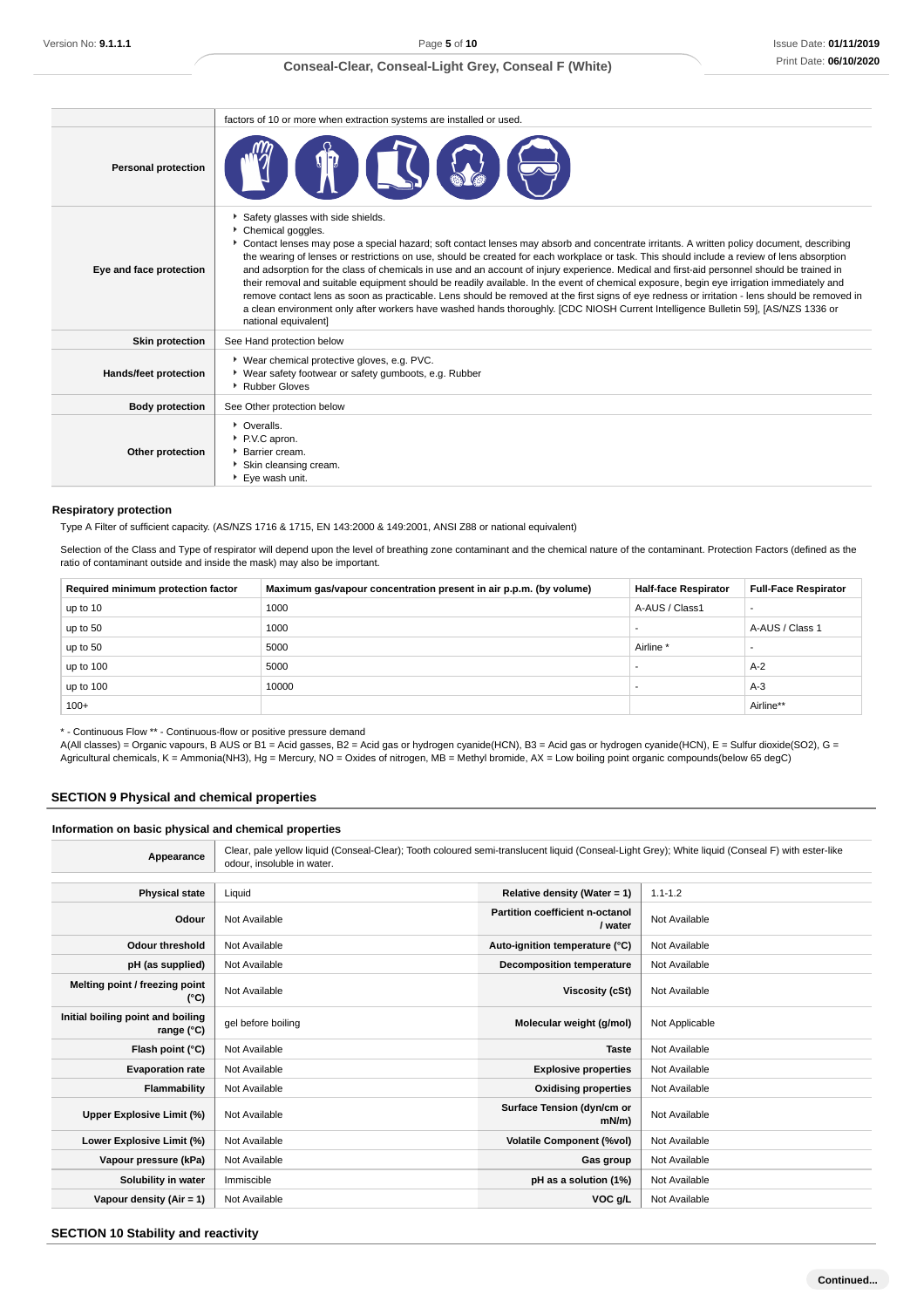|                            | factors of 10 or more when extraction systems are installed or used.                                                                                                                                                                                                                                                                                                                                                                                                                                                                                                                                                                                                                                                                                                                                                                                                                                                                                          |
|----------------------------|---------------------------------------------------------------------------------------------------------------------------------------------------------------------------------------------------------------------------------------------------------------------------------------------------------------------------------------------------------------------------------------------------------------------------------------------------------------------------------------------------------------------------------------------------------------------------------------------------------------------------------------------------------------------------------------------------------------------------------------------------------------------------------------------------------------------------------------------------------------------------------------------------------------------------------------------------------------|
| <b>Personal protection</b> |                                                                                                                                                                                                                                                                                                                                                                                                                                                                                                                                                                                                                                                                                                                                                                                                                                                                                                                                                               |
| Eye and face protection    | Safety glasses with side shields.<br>Chemical goggles.<br>Contact lenses may pose a special hazard; soft contact lenses may absorb and concentrate irritants. A written policy document, describing<br>the wearing of lenses or restrictions on use, should be created for each workplace or task. This should include a review of lens absorption<br>and adsorption for the class of chemicals in use and an account of injury experience. Medical and first-aid personnel should be trained in<br>their removal and suitable equipment should be readily available. In the event of chemical exposure, begin eye irrigation immediately and<br>remove contact lens as soon as practicable. Lens should be removed at the first signs of eye redness or irritation - lens should be removed in<br>a clean environment only after workers have washed hands thoroughly. [CDC NIOSH Current Intelligence Bulletin 59], [AS/NZS 1336 or<br>national equivalent] |
| <b>Skin protection</b>     | See Hand protection below                                                                                                                                                                                                                                                                                                                                                                                                                                                                                                                                                                                                                                                                                                                                                                                                                                                                                                                                     |
| Hands/feet protection      | ▶ Wear chemical protective gloves, e.g. PVC.<br>▶ Wear safety footwear or safety gumboots, e.g. Rubber<br>▶ Rubber Gloves                                                                                                                                                                                                                                                                                                                                                                                                                                                                                                                                                                                                                                                                                                                                                                                                                                     |
| <b>Body protection</b>     | See Other protection below                                                                                                                                                                                                                                                                                                                                                                                                                                                                                                                                                                                                                                                                                                                                                                                                                                                                                                                                    |
| Other protection           | • Overalls.<br>P.V.C apron.<br>Barrier cream.<br>Skin cleansing cream.<br>Eve wash unit.                                                                                                                                                                                                                                                                                                                                                                                                                                                                                                                                                                                                                                                                                                                                                                                                                                                                      |

#### **Respiratory protection**

Type A Filter of sufficient capacity. (AS/NZS 1716 & 1715, EN 143:2000 & 149:2001, ANSI Z88 or national equivalent)

Selection of the Class and Type of respirator will depend upon the level of breathing zone contaminant and the chemical nature of the contaminant. Protection Factors (defined as the ratio of contaminant outside and inside the mask) may also be important.

| Required minimum protection factor | Maximum gas/vapour concentration present in air p.p.m. (by volume) | <b>Half-face Respirator</b> | <b>Full-Face Respirator</b> |
|------------------------------------|--------------------------------------------------------------------|-----------------------------|-----------------------------|
| up to 10                           | 1000                                                               | A-AUS / Class1              |                             |
| up to 50                           | 1000                                                               |                             | A-AUS / Class 1             |
| up to 50                           | 5000                                                               | Airline <sup>*</sup>        |                             |
| up to 100                          | 5000                                                               |                             | $A-2$                       |
| up to 100                          | 10000                                                              |                             | $A-3$                       |
| $100+$                             |                                                                    |                             | Airline**                   |

\* - Continuous Flow \*\* - Continuous-flow or positive pressure demand

A(All classes) = Organic vapours, B AUS or B1 = Acid gasses, B2 = Acid gas or hydrogen cyanide(HCN), B3 = Acid gas or hydrogen cyanide(HCN), E = Sulfur dioxide(SO2), G = Agricultural chemicals, K = Ammonia(NH3), Hg = Mercury, NO = Oxides of nitrogen, MB = Methyl bromide, AX = Low boiling point organic compounds(below 65 degC)

## **SECTION 9 Physical and chemical properties**

### **Information on basic physical and chemical properties**

| Appearance                                      | Clear, pale yellow liquid (Conseal-Clear); Tooth coloured semi-translucent liquid (Conseal-Light Grey); White liquid (Conseal F) with ester-like<br>odour, insoluble in water. |                                            |                |
|-------------------------------------------------|--------------------------------------------------------------------------------------------------------------------------------------------------------------------------------|--------------------------------------------|----------------|
| <b>Physical state</b>                           | Liquid                                                                                                                                                                         | Relative density (Water = 1)               | $1.1 - 1.2$    |
| Odour                                           | Not Available                                                                                                                                                                  | Partition coefficient n-octanol<br>/ water | Not Available  |
| Odour threshold                                 | Not Available                                                                                                                                                                  | Auto-ignition temperature (°C)             | Not Available  |
| pH (as supplied)                                | Not Available                                                                                                                                                                  | <b>Decomposition temperature</b>           | Not Available  |
| Melting point / freezing point<br>(°C)          | Not Available                                                                                                                                                                  | Viscosity (cSt)                            | Not Available  |
| Initial boiling point and boiling<br>range (°C) | gel before boiling                                                                                                                                                             | Molecular weight (g/mol)                   | Not Applicable |
| Flash point (°C)                                | Not Available                                                                                                                                                                  | <b>Taste</b>                               | Not Available  |
| <b>Evaporation rate</b>                         | Not Available                                                                                                                                                                  | <b>Explosive properties</b>                | Not Available  |
| Flammability                                    | Not Available                                                                                                                                                                  | <b>Oxidising properties</b>                | Not Available  |
| Upper Explosive Limit (%)                       | Not Available                                                                                                                                                                  | Surface Tension (dyn/cm or<br>$mN/m$ )     | Not Available  |
| Lower Explosive Limit (%)                       | Not Available                                                                                                                                                                  | <b>Volatile Component (%vol)</b>           | Not Available  |
| Vapour pressure (kPa)                           | Not Available                                                                                                                                                                  | Gas group                                  | Not Available  |
| Solubility in water                             | Immiscible                                                                                                                                                                     | pH as a solution (1%)                      | Not Available  |
| Vapour density $(Air = 1)$                      | Not Available                                                                                                                                                                  | VOC g/L                                    | Not Available  |

#### **SECTION 10 Stability and reactivity**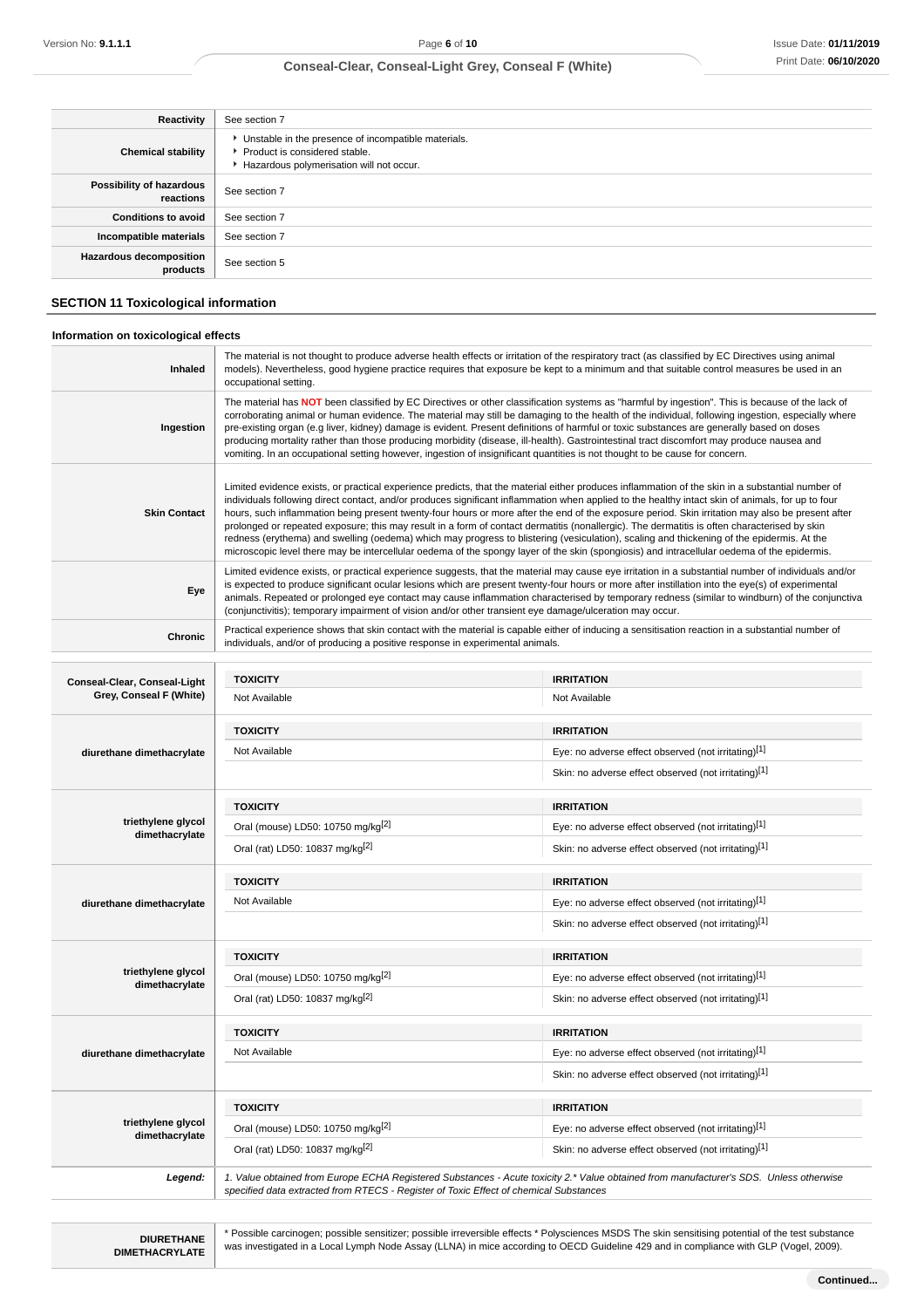| Reactivity                                 | See section 7                                                                                                                        |
|--------------------------------------------|--------------------------------------------------------------------------------------------------------------------------------------|
| <b>Chemical stability</b>                  | • Unstable in the presence of incompatible materials.<br>▶ Product is considered stable.<br>Hazardous polymerisation will not occur. |
| Possibility of hazardous<br>reactions      | See section 7                                                                                                                        |
| <b>Conditions to avoid</b>                 | See section 7                                                                                                                        |
| Incompatible materials                     | See section 7                                                                                                                        |
| <b>Hazardous decomposition</b><br>products | See section 5                                                                                                                        |

#### **SECTION 11 Toxicological information**

### **Information on toxicological effects Inhaled** The material is not thought to produce adverse health effects or irritation of the respiratory tract (as classified by EC Directives using animal models). Nevertheless, good hygiene practice requires that exposure be kept to a minimum and that suitable control measures be used in an occupational setting. **Ingestion** The material has **NOT** been classified by EC Directives or other classification systems as "harmful by ingestion". This is because of the lack of corroborating animal or human evidence. The material may still be damaging to the health of the individual, following ingestion, especially where pre-existing organ (e.g liver, kidney) damage is evident. Present definitions of harmful or toxic substances are generally based on doses producing mortality rather than those producing morbidity (disease, ill-health). Gastrointestinal tract discomfort may produce nausea and vomiting. In an occupational setting however, ingestion of insignificant quantities is not thought to be cause for concern. **Skin Contact** Limited evidence exists, or practical experience predicts, that the material either produces inflammation of the skin in a substantial number of individuals following direct contact, and/or produces significant inflammation when applied to the healthy intact skin of animals, for up to four hours, such inflammation being present twenty-four hours or more after the end of the exposure period. Skin irritation may also be present after prolonged or repeated exposure; this may result in a form of contact dermatitis (nonallergic). The dermatitis is often characterised by skin redness (erythema) and swelling (oedema) which may progress to blistering (vesiculation), scaling and thickening of the epidermis. At the microscopic level there may be intercellular oedema of the spongy layer of the skin (spongiosis) and intracellular oedema of the epidermis. **Eye** Limited evidence exists, or practical experience suggests, that the material may cause eye irritation in a substantial number of individuals and/or is expected to produce significant ocular lesions which are present twenty-four hours or more after instillation into the eye(s) of experimental animals. Repeated or prolonged eye contact may cause inflammation characterised by temporary redness (similar to windburn) of the conjunctiva (conjunctivitis); temporary impairment of vision and/or other transient eye damage/ulceration may occur. **Chronic** Practical experience shows that skin contact with the material is capable either of inducing a sensitisation reaction in a substantial number of individuals, and/or of producing a positive response in experimental animals. **Conseal-Clear, Conseal-Light Grey, Conseal F (White) TOXICITY IRRITATION** Not Available Not Available **diurethane dimethacrylate TOXICITY IRRITATION** Not Available **Eye:** no adverse effect observed (not irritating)<sup>[1]</sup> Eye: no adverse effect observed (not irritating)<sup>[1]</sup> Skin: no adverse effect observed (not irritating)<sup>[1]</sup> **triethylene glycol dimethacrylate TOXICITY IRRITATION** Oral (mouse) LD50: 10750 mg/kg<sup>[2]</sup> execution of the state of Eye: no adverse effect observed (not irritating)<sup>[1]</sup> Oral (rat) LD50: 10837 mg/kg<sup>[2]</sup> Skin: no adverse effect observed (not irritating)<sup>[1]</sup> **diurethane dimethacrylate TOXICITY IRRITATION** Not Available **Eye:** no adverse effect observed (not irritating)<sup>[1]</sup> Eye: no adverse effect observed (not irritating)<sup>[1]</sup> Skin: no adverse effect observed (not irritating)<sup>[1]</sup> **triethylene glycol dimethacrylate TOXICITY IRRITATION** Oral (mouse) LD50: 10750 mg/kg<sup>[2]</sup> exercise effect observed (not irritating)<sup>[1]</sup> Eye: no adverse effect observed (not irritating)<sup>[1]</sup> Oral (rat) LD50: 10837 mg/kg<sup>[2]</sup> Skin: no adverse effect observed (not irritating)<sup>[1]</sup> **diurethane dimethacrylate TOXICITY IRRITATION** Not Available **Eye:** no adverse effect observed (not irritating)<sup>[1]</sup> Skin: no adverse effect observed (not irritating)<sup>[1]</sup> **triethylene glycol dimethacrylate TOXICITY IRRITATION** Oral (mouse) LD50: 10750 mg/kg<sup>[2]</sup> exercise of the series of the series of the series of the series of the series of the series of the series of the series of the series of the series of the series of the series of the se Oral (rat) LD50: 10837 mg/kg<sup>[2]</sup> example of the Skin: no adverse effect observed (not irritating)<sup>[1]</sup> **Legend:** 1. Value obtained from Europe ECHA Registered Substances - Acute toxicity 2.\* Value obtained from manufacturer's SDS. Unless otherwise specified data extracted from RTECS - Register of Toxic Effect of chemical Substances

**DIURETHANE DIMETHACRYLATE**

\* Possible carcinogen; possible sensitizer; possible irreversible effects \* Polysciences MSDS The skin sensitising potential of the test substance was investigated in a Local Lymph Node Assay (LLNA) in mice according to OECD Guideline 429 and in compliance with GLP (Vogel, 2009).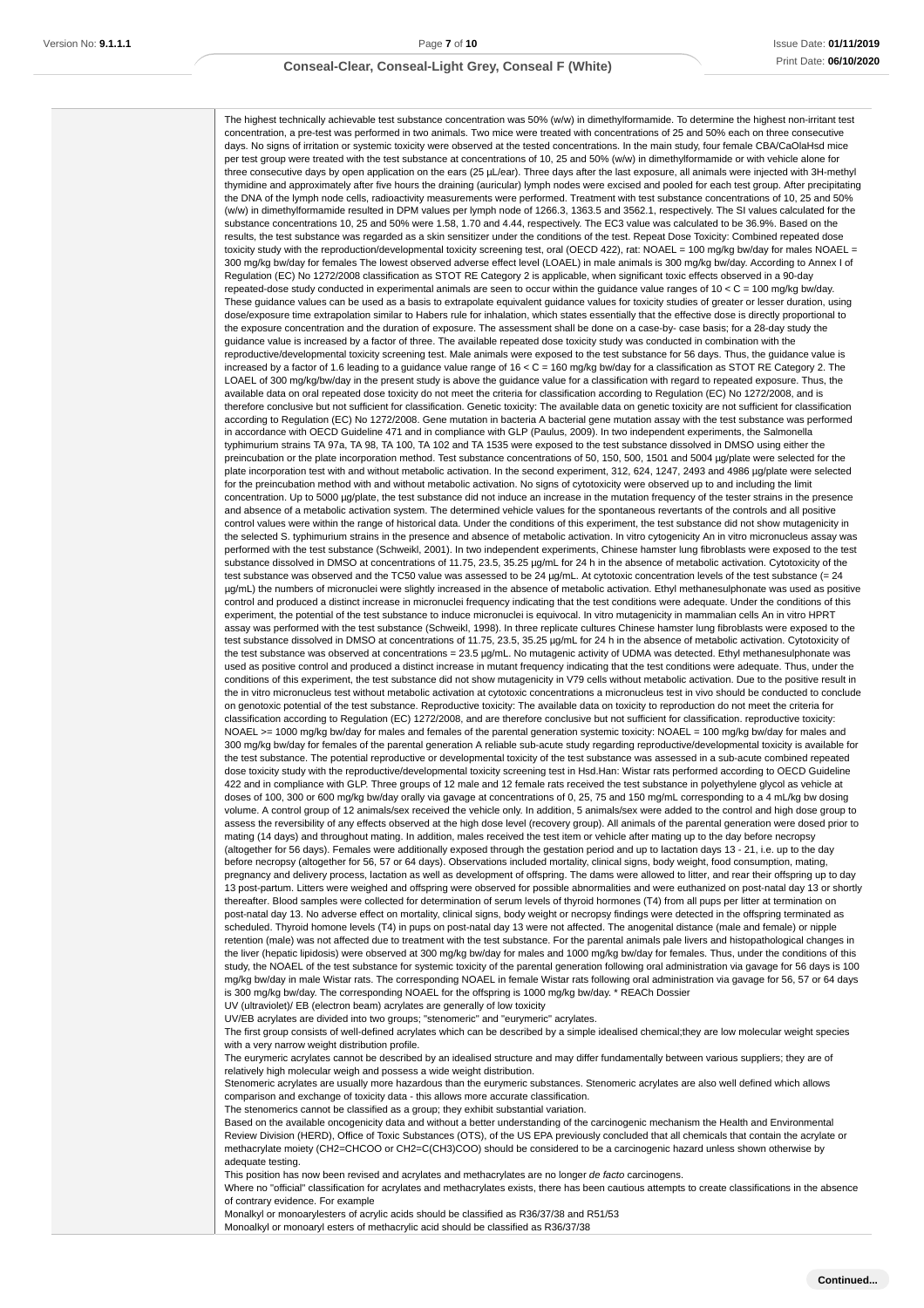#### Issue Date: **01/11/2019** Print Date: **06/10/2020**

### **Conseal-Clear, Conseal-Light Grey, Conseal F (White)**

The highest technically achievable test substance concentration was 50% (w/w) in dimethylformamide. To determine the highest non-irritant test concentration, a pre-test was performed in two animals. Two mice were treated with concentrations of 25 and 50% each on three consecutive days. No signs of irritation or systemic toxicity were observed at the tested concentrations. In the main study, four female CBA/CaOlaHsd mice per test group were treated with the test substance at concentrations of 10, 25 and 50% (w/w) in dimethylformamide or with vehicle alone for three consecutive days by open application on the ears (25 µL/ear). Three days after the last exposure, all animals were injected with 3H-methyl thymidine and approximately after five hours the draining (auricular) lymph nodes were excised and pooled for each test group. After precipitating the DNA of the lymph node cells, radioactivity measurements were performed. Treatment with test substance concentrations of 10, 25 and 50% (w/w) in dimethylformamide resulted in DPM values per lymph node of 1266.3, 1363.5 and 3562.1, respectively. The SI values calculated for the substance concentrations 10, 25 and 50% were 1.58, 1.70 and 4.44, respectively. The EC3 value was calculated to be 36.9%. Based on the results, the test substance was regarded as a skin sensitizer under the conditions of the test. Repeat Dose Toxicity: Combined repeated dose toxicity study with the reproduction/developmental toxicity screening test, oral (OECD 422), rat: NOAEL = 100 mg/kg bw/day for males NOAEL = 300 mg/kg bw/day for females The lowest observed adverse effect level (LOAEL) in male animals is 300 mg/kg bw/day. According to Annex I of Regulation (EC) No 1272/2008 classification as STOT RE Category 2 is applicable, when significant toxic effects observed in a 90-day repeated-dose study conducted in experimental animals are seen to occur within the guidance value ranges of  $10 < C = 100$  mg/kg bw/day. These guidance values can be used as a basis to extrapolate equivalent guidance values for toxicity studies of greater or lesser duration, using dose/exposure time extrapolation similar to Habers rule for inhalation, which states essentially that the effective dose is directly proportional to the exposure concentration and the duration of exposure. The assessment shall be done on a case-by- case basis; for a 28-day study the guidance value is increased by a factor of three. The available repeated dose toxicity study was conducted in combination with the reproductive/developmental toxicity screening test. Male animals were exposed to the test substance for 56 days. Thus, the guidance value is increased by a factor of 1.6 leading to a guidance value range of 16 < C = 160 mg/kg bw/day for a classification as STOT RE Category 2. The LOAEL of 300 mg/kg/bw/day in the present study is above the guidance value for a classification with regard to repeated exposure. Thus, the available data on oral repeated dose toxicity do not meet the criteria for classification according to Regulation (EC) No 1272/2008, and is therefore conclusive but not sufficient for classification. Genetic toxicity: The available data on genetic toxicity are not sufficient for classification according to Regulation (EC) No 1272/2008. Gene mutation in bacteria A bacterial gene mutation assay with the test substance was performed in accordance with OECD Guideline 471 and in compliance with GLP (Paulus, 2009). In two independent experiments, the Salmonella typhimurium strains TA 97a, TA 98, TA 100, TA 102 and TA 1535 were exposed to the test substance dissolved in DMSO using either the preincubation or the plate incorporation method. Test substance concentrations of 50, 150, 500, 1501 and 5004 ug/plate were selected for the plate incorporation test with and without metabolic activation. In the second experiment, 312, 624, 1247, 2493 and 4986 µg/plate were selected for the preincubation method with and without metabolic activation. No signs of cytotoxicity were observed up to and including the limit concentration. Up to 5000 µg/plate, the test substance did not induce an increase in the mutation frequency of the tester strains in the presence and absence of a metabolic activation system. The determined vehicle values for the spontaneous revertants of the controls and all positive control values were within the range of historical data. Under the conditions of this experiment, the test substance did not show mutagenicity in the selected S. typhimurium strains in the presence and absence of metabolic activation. In vitro cytogenicity An in vitro micronucleus assay was performed with the test substance (Schweikl, 2001). In two independent experiments, Chinese hamster lung fibroblasts were exposed to the test substance dissolved in DMSO at concentrations of 11.75, 23.5, 35.25 µg/mL for 24 h in the absence of metabolic activation. Cytotoxicity of the test substance was observed and the TC50 value was assessed to be 24 µg/mL. At cytotoxic concentration levels of the test substance (= 24 µg/mL) the numbers of micronuclei were slightly increased in the absence of metabolic activation. Ethyl methanesulphonate was used as positive control and produced a distinct increase in micronuclei frequency indicating that the test conditions were adequate. Under the conditions of this experiment, the potential of the test substance to induce micronuclei is equivocal. In vitro mutagenicity in mammalian cells An in vitro HPRT assay was performed with the test substance (Schweikl, 1998). In three replicate cultures Chinese hamster lung fibroblasts were exposed to the test substance dissolved in DMSO at concentrations of 11.75, 23.5, 35.25 µg/mL for 24 h in the absence of metabolic activation. Cytotoxicity of the test substance was observed at concentrations = 23.5 µg/mL. No mutagenic activity of UDMA was detected. Ethyl methanesulphonate was used as positive control and produced a distinct increase in mutant frequency indicating that the test conditions were adequate. Thus, under the conditions of this experiment, the test substance did not show mutagenicity in V79 cells without metabolic activation. Due to the positive result in the in vitro micronucleus test without metabolic activation at cytotoxic concentrations a micronucleus test in vivo should be conducted to conclude on genotoxic potential of the test substance. Reproductive toxicity: The available data on toxicity to reproduction do not meet the criteria for classification according to Regulation (EC) 1272/2008, and are therefore conclusive but not sufficient for classification. reproductive toxicity: NOAEL >= 1000 mg/kg bw/day for males and females of the parental generation systemic toxicity: NOAEL = 100 mg/kg bw/day for males and 300 mg/kg bw/day for females of the parental generation A reliable sub-acute study regarding reproductive/developmental toxicity is available for the test substance. The potential reproductive or developmental toxicity of the test substance was assessed in a sub-acute combined repeated dose toxicity study with the reproductive/developmental toxicity screening test in Hsd.Han: Wistar rats performed according to OECD Guideline 422 and in compliance with GLP. Three groups of 12 male and 12 female rats received the test substance in polyethylene glycol as vehicle at doses of 100, 300 or 600 mg/kg bw/day orally via gavage at concentrations of 0, 25, 75 and 150 mg/mL corresponding to a 4 mL/kg bw dosing volume. A control group of 12 animals/sex received the vehicle only. In addition, 5 animals/sex were added to the control and high dose group to assess the reversibility of any effects observed at the high dose level (recovery group). All animals of the parental generation were dosed prior to mating (14 days) and throughout mating. In addition, males received the test item or vehicle after mating up to the day before necropsy (altogether for 56 days). Females were additionally exposed through the gestation period and up to lactation days 13 - 21, i.e. up to the day before necropsy (altogether for 56, 57 or 64 days). Observations included mortality, clinical signs, body weight, food consumption, mating, pregnancy and delivery process, lactation as well as development of offspring. The dams were allowed to litter, and rear their offspring up to day 13 post-partum. Litters were weighed and offspring were observed for possible abnormalities and were euthanized on post-natal day 13 or shortly thereafter. Blood samples were collected for determination of serum levels of thyroid hormones (T4) from all pups per litter at termination on post-natal day 13. No adverse effect on mortality, clinical signs, body weight or necropsy findings were detected in the offspring terminated as scheduled. Thyroid homone levels (T4) in pups on post-natal day 13 were not affected. The anogenital distance (male and female) or nipple retention (male) was not affected due to treatment with the test substance. For the parental animals pale livers and histopathological changes in the liver (hepatic lipidosis) were observed at 300 mg/kg bw/day for males and 1000 mg/kg bw/day for females. Thus, under the conditions of this study, the NOAEL of the test substance for systemic toxicity of the parental generation following oral administration via gavage for 56 days is 100 mg/kg bw/day in male Wistar rats. The corresponding NOAEL in female Wistar rats following oral administration via gavage for 56, 57 or 64 days is 300 mg/kg bw/day. The corresponding NOAEL for the offspring is 1000 mg/kg bw/day. \* REACh Dossier UV (ultraviolet)/ EB (electron beam) acrylates are generally of low toxicity

UV/EB acrylates are divided into two groups; "stenomeric" and "eurymeric" acrylates.

The first group consists of well-defined acrylates which can be described by a simple idealised chemical;they are low molecular weight species with a very narrow weight distribution profile.

The eurymeric acrylates cannot be described by an idealised structure and may differ fundamentally between various suppliers; they are of relatively high molecular weigh and possess a wide weight distribution.

Stenomeric acrylates are usually more hazardous than the eurymeric substances. Stenomeric acrylates are also well defined which allows comparison and exchange of toxicity data - this allows more accurate classification.

The stenomerics cannot be classified as a group; they exhibit substantial variation.

Based on the available oncogenicity data and without a better understanding of the carcinogenic mechanism the Health and Environmental Review Division (HERD), Office of Toxic Substances (OTS), of the US EPA previously concluded that all chemicals that contain the acrylate or methacrylate moiety (CH2=CHCOO or CH2=C(CH3)COO) should be considered to be a carcinogenic hazard unless shown otherwise by adequate testing.

This position has now been revised and acrylates and methacrylates are no longer de facto carcinogens.

Where no "official" classification for acrylates and methacrylates exists, there has been cautious attempts to create classifications in the absence of contrary evidence. For example

Monalkyl or monoarylesters of acrylic acids should be classified as R36/37/38 and R51/53

Monoalkyl or monoaryl esters of methacrylic acid should be classified as R36/37/38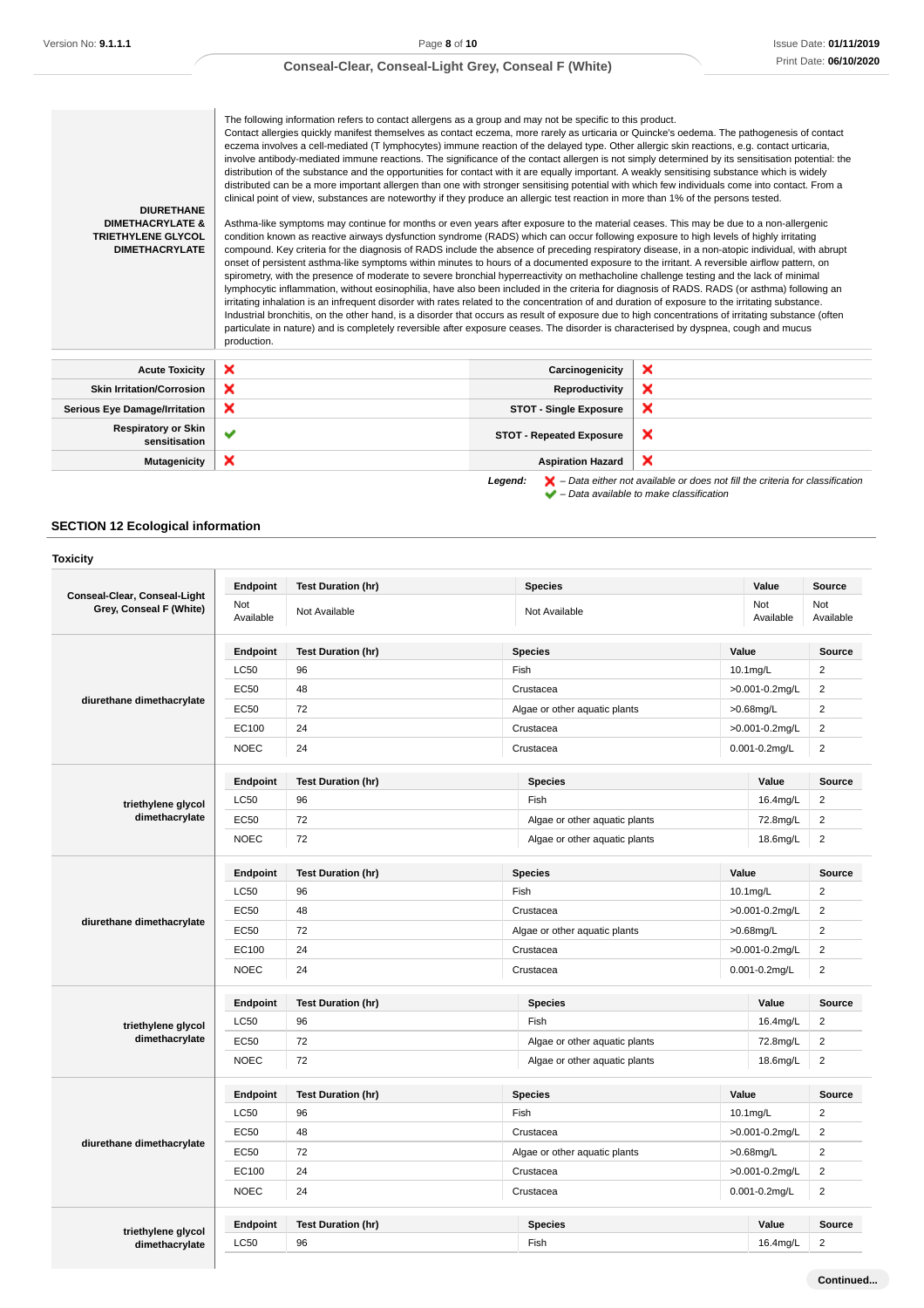The following information refers to contact allergens as a group and may not be specific to this product. Contact allergies quickly manifest themselves as contact eczema, more rarely as urticaria or Quincke's oedema. The pathogenesis of contact eczema involves a cell-mediated (T lymphocytes) immune reaction of the delayed type. Other allergic skin reactions, e.g. contact urticaria, involve antibody-mediated immune reactions. The significance of the contact allergen is not simply determined by its sensitisation potential: the distribution of the substance and the opportunities for contact with it are equally important. A weakly sensitising substance which is widely distributed can be a more important allergen than one with stronger sensitising potential with which few individuals come into contact. From a clinical point of view, substances are noteworthy if they produce an allergic test reaction in more than 1% of the persons tested.

**DIURETHANE DIMETHACRYLATE & TRIETHYLENE GLYCOL DIMETHACRYLATE**

Asthma-like symptoms may continue for months or even years after exposure to the material ceases. This may be due to a non-allergenic condition known as reactive airways dysfunction syndrome (RADS) which can occur following exposure to high levels of highly irritating compound. Key criteria for the diagnosis of RADS include the absence of preceding respiratory disease, in a non-atopic individual, with abrupt onset of persistent asthma-like symptoms within minutes to hours of a documented exposure to the irritant. A reversible airflow pattern, on spirometry, with the presence of moderate to severe bronchial hyperreactivity on methacholine challenge testing and the lack of minimal lymphocytic inflammation, without eosinophilia, have also been included in the criteria for diagnosis of RADS. RADS (or asthma) following an irritating inhalation is an infrequent disorder with rates related to the concentration of and duration of exposure to the irritating substance. Industrial bronchitis, on the other hand, is a disorder that occurs as result of exposure due to high concentrations of irritating substance (often particulate in nature) and is completely reversible after exposure ceases. The disorder is characterised by dyspnea, cough and mucus production.

| <b>Acute Toxicity</b>                       | $\boldsymbol{\mathsf{x}}$ | Carcinogenicity                 | ×                                                                         |
|---------------------------------------------|---------------------------|---------------------------------|---------------------------------------------------------------------------|
| <b>Skin Irritation/Corrosion</b>            | ×                         | Reproductivity                  | ×                                                                         |
| <b>Serious Eye Damage/Irritation</b>        | ×                         | <b>STOT - Single Exposure</b>   | ×                                                                         |
| <b>Respiratory or Skin</b><br>sensitisation | $\checkmark$              | <b>STOT - Repeated Exposure</b> | ×                                                                         |
| <b>Mutagenicity</b>                         | ×                         | <b>Aspiration Hazard</b>        | ×                                                                         |
|                                             |                           | $\sim$<br>.                     | Dota aither net quailable ar dese net fill the eriteria for elegationtian |

**Le** – Data either not available or does not fill the criteria for<br>
Le – Data available to make classification – Data available to make classification

## **SECTION 12 Ecological information**

|                                                         | Endpoint         | <b>Test Duration (hr)</b> | <b>Species</b>                | Value              | <b>Source</b>           |
|---------------------------------------------------------|------------------|---------------------------|-------------------------------|--------------------|-------------------------|
| Conseal-Clear, Conseal-Light<br>Grey, Conseal F (White) | Not<br>Available | Not Available             | Not Available                 | Not<br>Available   | Not<br>Available        |
|                                                         | Endpoint         | <b>Test Duration (hr)</b> | <b>Species</b>                | Value              | Source                  |
|                                                         | LC50             | 96                        | Fish                          | 10.1mg/L           | $\overline{2}$          |
|                                                         | <b>EC50</b>      | 48                        | Crustacea                     | >0.001-0.2mg/L     | $\overline{2}$          |
| diurethane dimethacrylate                               | <b>EC50</b>      | 72                        | Algae or other aquatic plants | $>0.68$ mg/L       | $\overline{2}$          |
|                                                         | EC100            | 24                        | Crustacea                     | >0.001-0.2mg/L     | $\overline{2}$          |
|                                                         | <b>NOEC</b>      | 24                        | Crustacea                     | $0.001 - 0.2$ mg/L | $\overline{2}$          |
|                                                         | Endpoint         | <b>Test Duration (hr)</b> | <b>Species</b>                | Value              | <b>Source</b>           |
| triethylene glycol                                      | <b>LC50</b>      | 96                        | Fish                          | 16.4mg/L           | $\overline{2}$          |
| dimethacrylate                                          | EC50             | 72                        | Algae or other aquatic plants | 72.8mg/L           | $\overline{2}$          |
|                                                         | <b>NOEC</b>      | 72                        | Algae or other aquatic plants | 18.6mg/L           | $\overline{2}$          |
|                                                         | Endpoint         | <b>Test Duration (hr)</b> | <b>Species</b>                | Value              | <b>Source</b>           |
|                                                         | <b>LC50</b>      | 96                        | Fish                          | 10.1mg/L           | $\overline{2}$          |
|                                                         | <b>EC50</b>      | 48                        | Crustacea                     | >0.001-0.2mg/L     | $\overline{\mathbf{c}}$ |
| diurethane dimethacrylate                               | EC50             | 72                        | Algae or other aquatic plants | >0.68mg/L          | $\overline{2}$          |
|                                                         | EC100            | 24                        | Crustacea                     | >0.001-0.2mg/L     | $\overline{2}$          |
|                                                         | <b>NOEC</b>      | 24                        | Crustacea                     | $0.001 - 0.2$ mg/L | $\overline{2}$          |
|                                                         | Endpoint         | <b>Test Duration (hr)</b> | <b>Species</b>                | Value              | <b>Source</b>           |
| triethylene glycol                                      | <b>LC50</b>      | 96                        | Fish                          | 16.4mg/L           | $\overline{2}$          |
| dimethacrylate                                          | <b>EC50</b>      | 72                        | Algae or other aquatic plants | 72.8mg/L           | $\overline{\mathbf{c}}$ |
|                                                         | <b>NOEC</b>      | 72                        | Algae or other aquatic plants | 18.6mg/L           | $\overline{2}$          |
|                                                         | Endpoint         | <b>Test Duration (hr)</b> | <b>Species</b>                | Value              | Source                  |
|                                                         | <b>LC50</b>      | 96                        | Fish                          | 10.1mg/L           | $\overline{2}$          |
|                                                         | <b>EC50</b>      | 48                        | Crustacea                     | >0.001-0.2mg/L     | $\overline{2}$          |
| diurethane dimethacrylate                               | <b>EC50</b>      | 72                        | Algae or other aquatic plants | $>0.68$ mg/L       | $\overline{2}$          |
|                                                         | EC100            | 24                        | Crustacea                     | >0.001-0.2mg/L     | $\overline{2}$          |
|                                                         | <b>NOEC</b>      | 24                        | Crustacea                     | 0.001-0.2mg/L      | $\overline{2}$          |
|                                                         | Endpoint         | <b>Test Duration (hr)</b> | <b>Species</b>                | Value              | Source                  |
| triethylene glycol<br>dimethacrylate                    | <b>LC50</b>      | 96                        | Fish                          | 16.4mg/L           | $\overline{2}$          |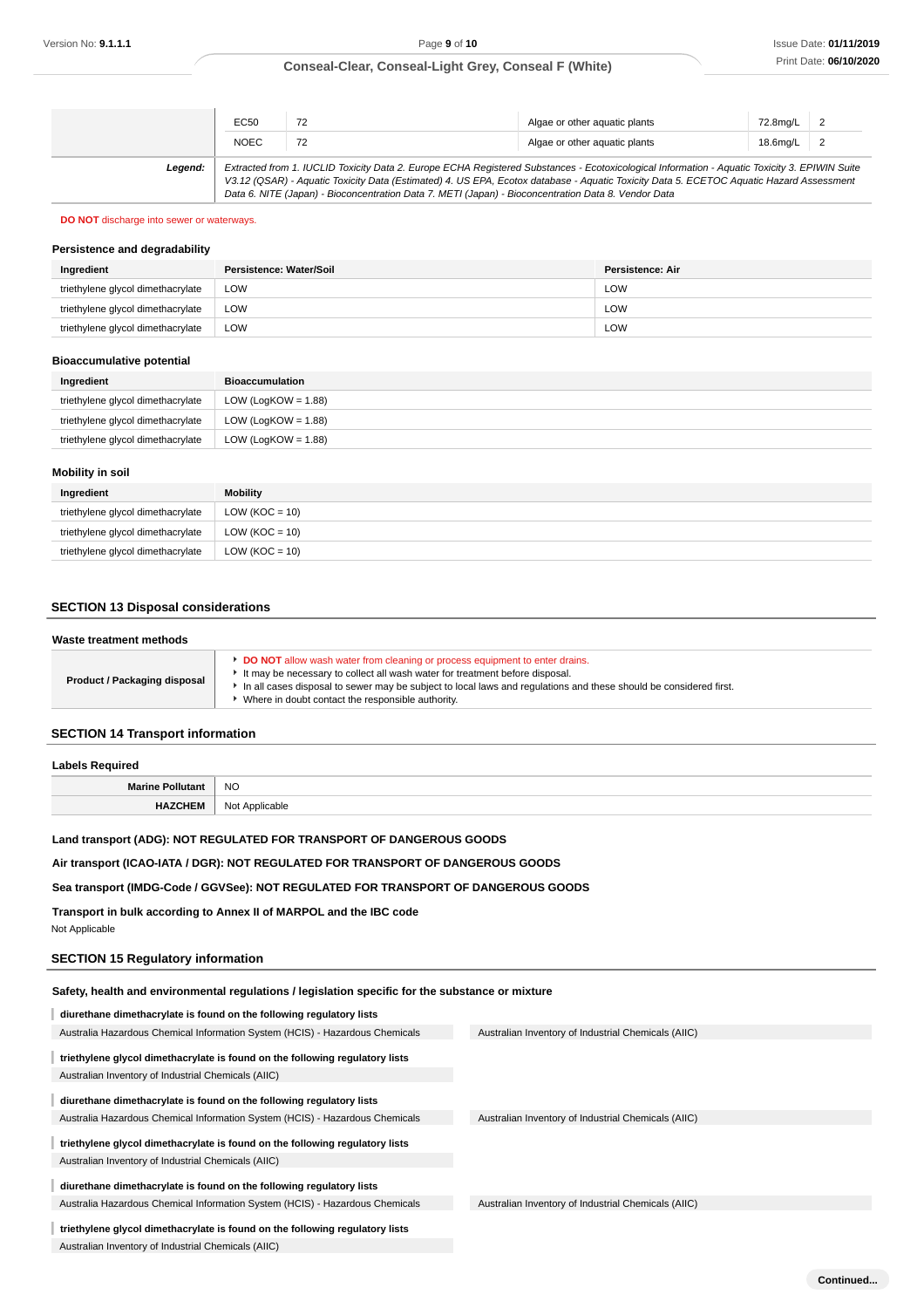|         | EC50                                                                                                                                                                                                                                                                                                                                                                                            | 72 | Algae or other aquatic plants | 72.8mg/L 2 |  |
|---------|-------------------------------------------------------------------------------------------------------------------------------------------------------------------------------------------------------------------------------------------------------------------------------------------------------------------------------------------------------------------------------------------------|----|-------------------------------|------------|--|
|         | <b>NOEC</b>                                                                                                                                                                                                                                                                                                                                                                                     | 72 | Algae or other aquatic plants | 18.6mg/L 2 |  |
| Legend: | Extracted from 1. IUCLID Toxicity Data 2. Europe ECHA Registered Substances - Ecotoxicological Information - Aquatic Toxicity 3. EPIWIN Suite<br>V3.12 (QSAR) - Aquatic Toxicity Data (Estimated) 4. US EPA, Ecotox database - Aquatic Toxicity Data 5. ECETOC Aquatic Hazard Assessment<br>Data 6. NITE (Japan) - Bioconcentration Data 7. METI (Japan) - Bioconcentration Data 8. Vendor Data |    |                               |            |  |

# **DO NOT** discharge into sewer or waterways.

## **Persistence and degradability**

| Ingredient                        | Persistence: Water/Soil | Persistence: Air |
|-----------------------------------|-------------------------|------------------|
| triethylene glycol dimethacrylate | LOW                     | LOW              |
| triethylene glycol dimethacrylate | LOW                     | LOW              |
| triethylene glycol dimethacrylate | LOW                     | LOW              |

#### **Bioaccumulative potential**

| Ingredient                        | Bioaccumulation        |
|-----------------------------------|------------------------|
| triethylene glycol dimethacrylate | LOW (LogKOW = $1.88$ ) |
| triethylene glycol dimethacrylate | LOW (LogKOW = $1.88$ ) |
| triethylene glycol dimethacrylate | LOW (LogKOW = $1.88$ ) |

## **Mobility in soil**

| Ingredient                        | <b>Mobility</b>    |
|-----------------------------------|--------------------|
| triethylene glycol dimethacrylate | LOW ( $KOC = 10$ ) |
| triethylene glycol dimethacrylate | LOW ( $KOC = 10$ ) |
| triethylene glycol dimethacrylate | LOW ( $KOC = 10$ ) |

# **SECTION 13 Disposal considerations**

| Waste treatment methods      |                                                                                                                                                                                                                                                                                                                                              |
|------------------------------|----------------------------------------------------------------------------------------------------------------------------------------------------------------------------------------------------------------------------------------------------------------------------------------------------------------------------------------------|
| Product / Packaging disposal | <b>DO NOT</b> allow wash water from cleaning or process equipment to enter drains.<br>It may be necessary to collect all wash water for treatment before disposal.<br>In all cases disposal to sewer may be subject to local laws and regulations and these should be considered first.<br>Where in doubt contact the responsible authority. |
|                              |                                                                                                                                                                                                                                                                                                                                              |

## **SECTION 14 Transport information**

| Labels Required         |                |  |
|-------------------------|----------------|--|
| <b>Marine Pollutant</b> | <b>NO</b>      |  |
| <b>HAZCHEM</b>          | Not Applicable |  |
|                         |                |  |

## **Land transport (ADG): NOT REGULATED FOR TRANSPORT OF DANGEROUS GOODS**

**Air transport (ICAO-IATA / DGR): NOT REGULATED FOR TRANSPORT OF DANGEROUS GOODS**

## **Sea transport (IMDG-Code / GGVSee): NOT REGULATED FOR TRANSPORT OF DANGEROUS GOODS**

**Transport in bulk according to Annex II of MARPOL and the IBC code** Not Applicable

## **SECTION 15 Regulatory information**

| Safety, health and environmental regulations / legislation specific for the substance or mixture |                                                     |
|--------------------------------------------------------------------------------------------------|-----------------------------------------------------|
| diurethane dimethacrylate is found on the following regulatory lists                             |                                                     |
| Australia Hazardous Chemical Information System (HCIS) - Hazardous Chemicals                     | Australian Inventory of Industrial Chemicals (AIIC) |
| triethylene glycol dimethacrylate is found on the following regulatory lists                     |                                                     |
| Australian Inventory of Industrial Chemicals (AIIC)                                              |                                                     |
| diurethane dimethacrylate is found on the following regulatory lists                             |                                                     |
| Australia Hazardous Chemical Information System (HCIS) - Hazardous Chemicals                     | Australian Inventory of Industrial Chemicals (AIIC) |
| triethylene glycol dimethacrylate is found on the following regulatory lists                     |                                                     |
| Australian Inventory of Industrial Chemicals (AIIC)                                              |                                                     |
| diurethane dimethacrylate is found on the following regulatory lists                             |                                                     |
| Australia Hazardous Chemical Information System (HCIS) - Hazardous Chemicals                     | Australian Inventory of Industrial Chemicals (AIIC) |
| triethylene glycol dimethacrylate is found on the following regulatory lists                     |                                                     |
| Australian Inventory of Industrial Chemicals (AIIC)                                              |                                                     |